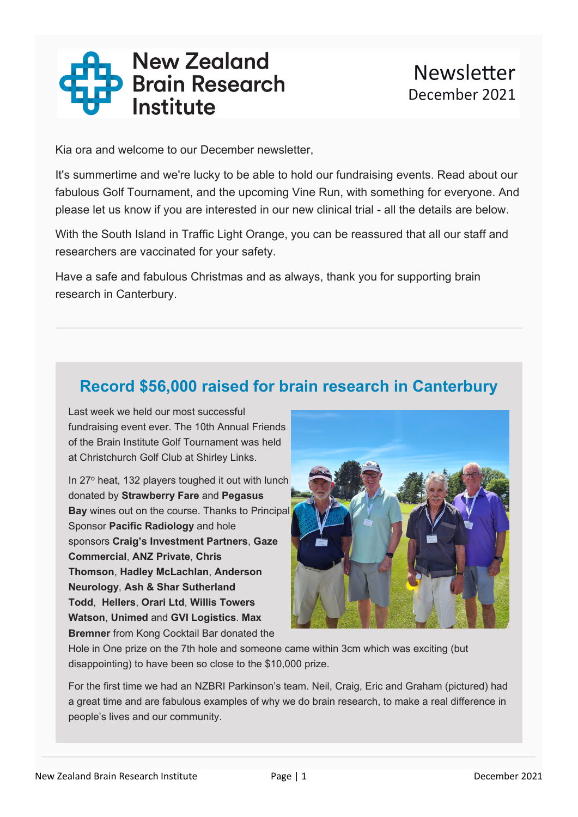

Kia ora and welcome to our December newsletter,

It's summertime and we're lucky to be able to hold our fundraising events. Read about our fabulous Golf Tournament, and the upcoming Vine Run, with something for everyone. And please let us know if you are interested in our new clinical trial - all the details are below.

With the South Island in Traffic Light Orange, you can be reassured that all our staff and researchers are vaccinated for your safety.

Have a safe and fabulous Christmas and as always, thank you for supporting brain research in Canterbury.

## **Record \$56,000 raised for brain research in Canterbury**

Last week we held our most successful fundraising event ever. The 10th Annual Friends of the Brain Institute Golf Tournament was held at Christchurch Golf Club at Shirley Links.

In 27° heat, 132 players toughed it out with lunch donated by **Strawberry Fare** and **Pegasus Bay** wines out on the course. Thanks to Principal Sponsor **Pacific Radiology** and hole sponsors **Craig's Investment Partners**, **Gaze Commercial**, **ANZ Private**, **Chris Thomson**, **Hadley McLachlan**, **Anderson Neurology**, **Ash & Shar Sutherland Todd**, **Hellers**, **Orari Ltd**, **Willis Towers Watson**, **Unimed** and **GVI Logistics**. **Max Bremner** from Kong Cocktail Bar donated the



Hole in One prize on the 7th hole and someone came within 3cm which was exciting (but disappointing) to have been so close to the \$10,000 prize.

For the first time we had an NZBRI Parkinson's team. Neil, Craig, Eric and Graham (pictured) had a great time and are fabulous examples of why we do brain research, to make a real difference in people's lives and our community.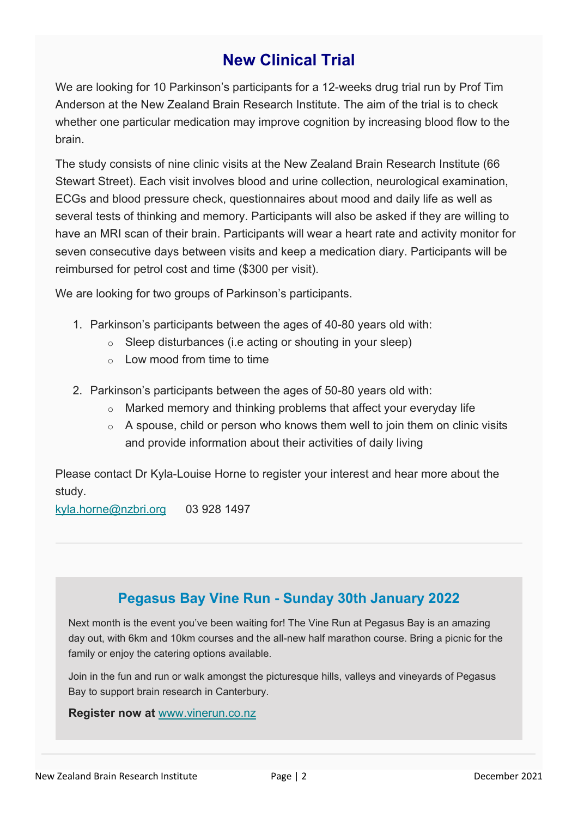# **New Clinical Trial**

We are looking for 10 Parkinson's participants for a 12-weeks drug trial run by Prof Tim Anderson at the New Zealand Brain Research Institute. The aim of the trial is to check whether one particular medication may improve cognition by increasing blood flow to the brain.

The study consists of nine clinic visits at the New Zealand Brain Research Institute (66 Stewart Street). Each visit involves blood and urine collection, neurological examination, ECGs and blood pressure check, questionnaires about mood and daily life as well as several tests of thinking and memory. Participants will also be asked if they are willing to have an MRI scan of their brain. Participants will wear a heart rate and activity monitor for seven consecutive days between visits and keep a medication diary. Participants will be reimbursed for petrol cost and time (\$300 per visit).

We are looking for two groups of Parkinson's participants.

- 1. Parkinson's participants between the ages of 40-80 years old with:
	- $\circ$  Sleep disturbances (i.e acting or shouting in your sleep)
	- $\circ$  Low mood from time to time
- 2. Parkinson's participants between the ages of 50-80 years old with:
	- $\circ$  Marked memory and thinking problems that affect your everyday life
	- $\circ$  A spouse, child or person who knows them well to join them on clinic visits and provide information about their activities of daily living

Please contact Dr Kyla-Louise Horne to register your interest and hear more about the study.

kyla.horne@nzbri.org 03 928 1497

### **Pegasus Bay Vine Run - Sunday 30th January 2022**

Next month is the event you've been waiting for! The Vine Run at Pegasus Bay is an amazing day out, with 6km and 10km courses and the all-new half marathon course. Bring a picnic for the family or enjoy the catering options available.

Join in the fun and run or walk amongst the picturesque hills, valleys and vineyards of Pegasus Bay to support brain research in Canterbury.

#### **Register now at** www.vinerun.co.nz